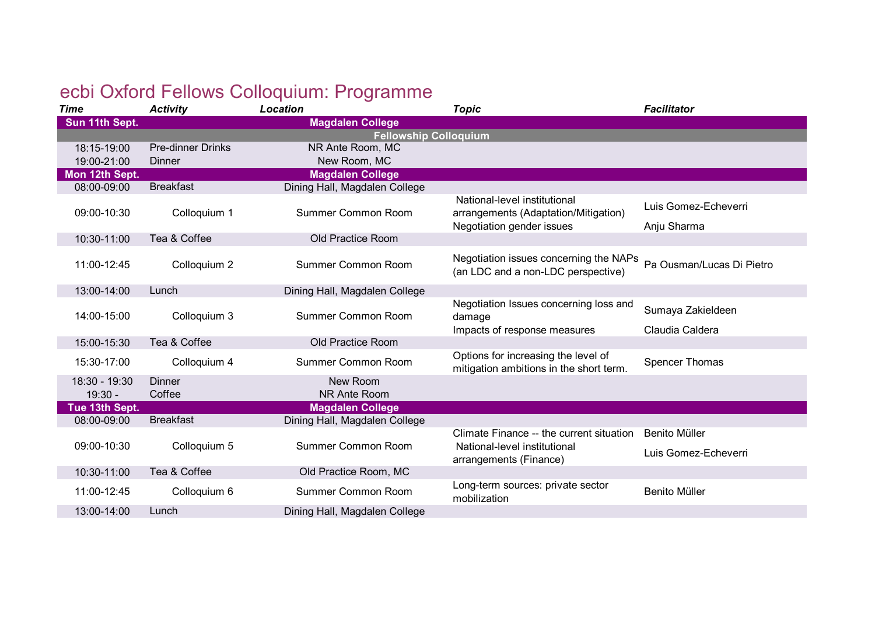## ecbi Oxford Fellows Colloquium: Programme

| <b>Time</b>                | <b>Activity</b>          | Location                      | <b>Topic</b>                                                                     | <b>Facilitator</b>                    |
|----------------------------|--------------------------|-------------------------------|----------------------------------------------------------------------------------|---------------------------------------|
| Sun 11th Sept.             |                          | <b>Magdalen College</b>       |                                                                                  |                                       |
|                            |                          | <b>Fellowship Colloquium</b>  |                                                                                  |                                       |
| 18:15-19:00                | <b>Pre-dinner Drinks</b> | NR Ante Room, MC              |                                                                                  |                                       |
| 19:00-21:00                | Dinner                   | New Room, MC                  |                                                                                  |                                       |
| Mon 12th Sept.             |                          | <b>Magdalen College</b>       |                                                                                  |                                       |
| 08:00-09:00                | <b>Breakfast</b>         | Dining Hall, Magdalen College |                                                                                  |                                       |
| 09:00-10:30                | Colloquium 1             | Summer Common Room            | National-level institutional<br>arrangements (Adaptation/Mitigation)             | Luis Gomez-Echeverri                  |
|                            |                          |                               | Negotiation gender issues                                                        | Anju Sharma                           |
| 10:30-11:00                | Tea & Coffee             | Old Practice Room             |                                                                                  |                                       |
| 11:00-12:45                | Colloquium 2             | Summer Common Room            | Negotiation issues concerning the NAPs<br>(an LDC and a non-LDC perspective)     | Pa Ousman/Lucas Di Pietro             |
| 13:00-14:00                | Lunch                    | Dining Hall, Magdalen College |                                                                                  |                                       |
| 14:00-15:00                | Colloquium 3             | Summer Common Room            | Negotiation Issues concerning loss and<br>damage<br>Impacts of response measures | Sumaya Zakieldeen<br>Claudia Caldera  |
| 15:00-15:30                | Tea & Coffee             | Old Practice Room             |                                                                                  |                                       |
| 15:30-17:00                | Colloquium 4             | Summer Common Room            | Options for increasing the level of<br>mitigation ambitions in the short term.   | <b>Spencer Thomas</b>                 |
| 18:30 - 19:30<br>$19:30 -$ | Dinner<br>Coffee         | New Room<br>NR Ante Room      |                                                                                  |                                       |
| Tue 13th Sept.             |                          | <b>Magdalen College</b>       |                                                                                  |                                       |
| 08:00-09:00                | <b>Breakfast</b>         | Dining Hall, Magdalen College |                                                                                  |                                       |
| 09:00-10:30                | Colloquium 5             | Summer Common Room            | Climate Finance -- the current situation<br>National-level institutional         | Benito Müller<br>Luis Gomez-Echeverri |
|                            |                          |                               | arrangements (Finance)                                                           |                                       |
| 10:30-11:00                | Tea & Coffee             | Old Practice Room, MC         |                                                                                  |                                       |
| 11:00-12:45                | Colloquium 6             | Summer Common Room            | Long-term sources: private sector<br>mobilization                                | <b>Benito Müller</b>                  |
| 13:00-14:00                | Lunch                    | Dining Hall, Magdalen College |                                                                                  |                                       |